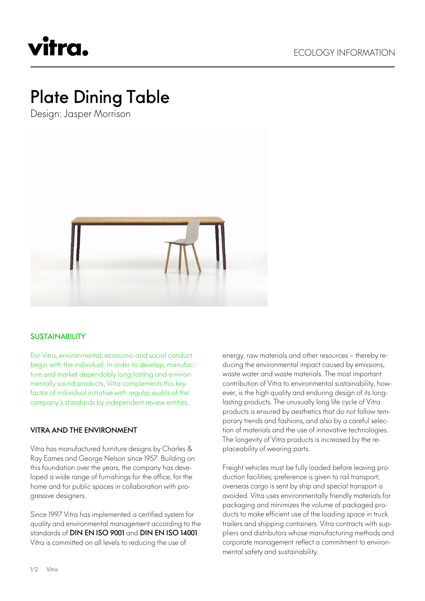

## Plate Dining Table

Design: Jasper Morrison



## **SUSTAINABILITY**

For Vitra, environmental, economic and social conduct begin with the individual. In order to develop, manufacture and market dependably long-lasting and environmentally sound products, Vitra complements this key factor of individual initiative with regular audits of the company's standards by independent review entities.

## VITRA AND THE ENVIRONMENT

Vitra has manufactured furniture designs by Charles & Ray Eames and George Nelson since 1957. Building on this foundation over the years, the company has developed a wide range of furnishings for the office, for the home and for public spaces in collaboration with progressive designers.

Since 1997 Vitra has implemented a certified system for quality and environmental management according to the standards of DIN EN ISO 9001 and DIN EN ISO 14001. Vitra is committed on all levels to reducing the use of

energy, raw materials and other resources – thereby reducing the environmental impact caused by emissions, waste water and waste materials. The most important contribution of Vitra to environmental sustainability, however, is the high quality and enduring design of its longlasting products. The unusually long life cycle of Vitra products is ensured by aesthetics that do not follow temporary trends and fashions, and also by a careful selection of materials and the use of innovative technologies. The longevity of Vitra products is increased by the replaceability of wearing parts.

Freight vehicles must be fully loaded before leaving production facilities; preference is given to rail transport; overseas cargo is sent by ship and special transport is avoided. Vitra uses environmentally friendly materials for packaging and minimizes the volume of packaged products to make efficient use of the loading space in truck trailers and shipping containers. Vitra contracts with suppliers and distributors whose manufacturing methods and corporate management reflect a commitment to environmental safety and sustainability.